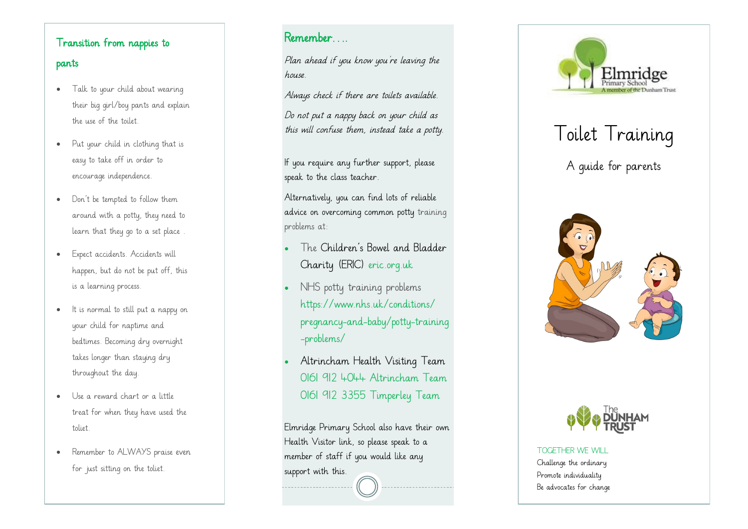# Transition from nappies to pants

- Talk to your child about wearing their big girl/boy pants and explain the use of the toilet.
- Put your child in clothing that is easy to take off in order to encourage independence.
- Don't be tempted to follow them around with a potty, they need to learn that they go to a set place .
- Expect accidents. Accidents will happen, but do not be put off, this is a learning process.
- It is normal to still put a nappy on your child for naptime and bedtimes. Becoming dry overnight takes longer than staying dry throughout the day.
- Use a reward chart or a little treat for when they have used the toliet.
- Remember to ALWAYS praise even for just sitting on the toliet.

# Remember….

Plan ahead if you know you're leaving the house.

Always check if there are toilets available.

Do not put a nappy back on your child as this will confuse them, instead take a potty.

If you require any further support, please speak to the class teacher.

Alternatively, you can find lots of reliable advice on overcoming common potty training problems at:

- The Children's Bowel and Bladder Charity (ERIC) eric.org.uk
- NHS potty training problems [https://www.nhs.uk/conditions/](https://www.nhs.uk/conditions/pregnancy-and-baby/potty-training-problems/) pregnancy -and [-baby/potty](https://www.nhs.uk/conditions/pregnancy-and-baby/potty-training-problems/) -training [-problems/](https://www.nhs.uk/conditions/pregnancy-and-baby/potty-training-problems/)
- Altrincham Health Visiting Team 0161 912 4044 Altrincham Team 0161 912 3355 Timperley Team

Elmridge Primary School also have their own Health Visitor link, so please speak to a member of staff if you would like any support with this.



# Toilet Training

A guide for parents





TOGETHER WE WILL Challenge the ordinary Promote individuality Be advocates for change